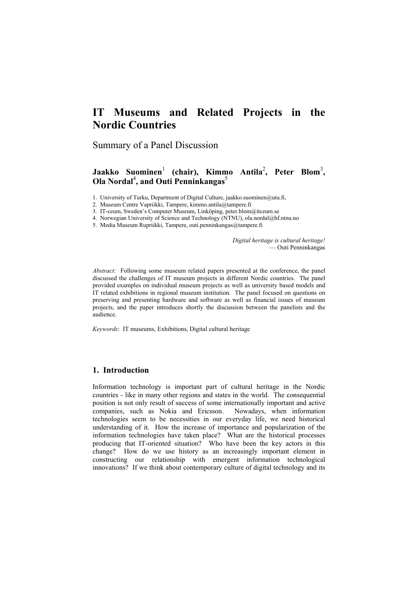# **[IT Museums and Related Projects in the](http://digikulttuuri.wordpress.com/2007/08/20/panel-on-it-museums-and-related-projects-in-the-nordic-countries/)  [Nordic Countries](http://digikulttuuri.wordpress.com/2007/08/20/panel-on-it-museums-and-related-projects-in-the-nordic-countries/)**

Summary of a Panel Discussion

Jaakko Suominen<sup>1</sup> (chair), Kimmo Antila<sup>2</sup>, Peter Blom<sup>3</sup>, **Ola Nordal<sup>4</sup>, and Outi Penninkangas**<sup>5</sup>

1. University of Turku, Department of Digital Culture, jaakko.suominen@utu.fi,

2. Museum Centre Vapriikki, Tampere, kimmo.antila@tampere.fi

3. IT-ceum, Sweden's Computer Museum, Linköping, peter.blom@itceum.se

4. Norwegian University of Science and Technology (NTNU), ola.nordal@hf.ntnu.no

5. Media Museum Rupriikki, Tampere, outi.penninkangas@tampere.fi

*Digital heritage is cultural heritage!*  — Outi Penninkangas

*Abstract*: Following some museum related papers presented at the conference, the panel discussed the challenges of IT museum projects in different Nordic countries. The panel provided examples on individual museum projects as well as university based models and IT related exhibitions in regional museum institution. The panel focused on questions on preserving and presenting hardware and software as well as financial issues of museum projects, and the paper introduces shortly the discussion between the panelists and the audience.

*Keywords*: IT museums, Exhibitions, Digital cultural heritage

#### **1. Introduction**

<span id="page-0-1"></span><span id="page-0-0"></span>Information technology is important part of cultural heritage in the Nordic countries - like in many other regions and states in the world. The consequential position is not only result of success of some internationally important and active companies, such as Nokia and Ericsson. Nowadays, when information technologies seem to be necessities in our everyday life, we need historical understanding of it. How the increase of importance and popularization of the information technologies have taken place? What are the historical processes producing that IT-oriented situation? Who have been the key actors in this change? How do we use history as an increasingly important element in constructing our relationship with emergent information technological innovations? If we think about contemporary culture of digital technology and its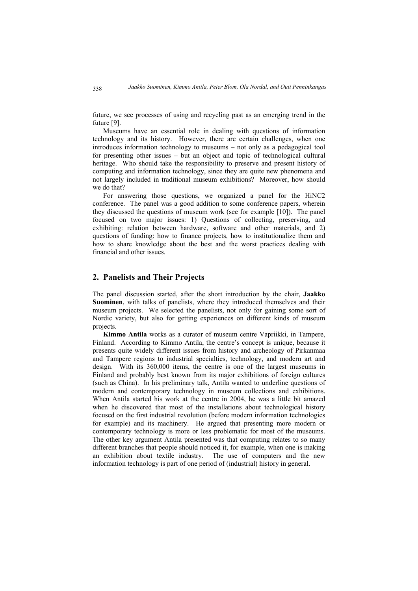future, we see processes of using and recycling past as an emerging trend in the future [9].

Museums have an essential role in dealing with questions of information technology and its history. However, there are certain challenges, when one introduces information technology to museums – not only as a pedagogical tool for presenting other issues – but an object and topic of technological cultural heritage. Who should take the responsibility to preserve and present history of computing and information technology, since they are quite new phenomena and not largely included in traditional museum exhibitions? Moreover, how should we do that?

For answering those questions, we organized a panel for the HiNC2 conference. The panel was a good addition to some conference papers, wherein they discussed the questions of museum work (see for example [10]). The panel focused on two major issues: 1) Questions of collecting, preserving, and exhibiting: relation between hardware, software and other materials, and 2) questions of funding: how to finance projects, how to institutionalize them and how to share knowledge about the best and the worst practices dealing with financial and other issues.

### **2. Panelists and Their Projects**

The panel discussion started, after the short introduction by the chair, **Jaakko Suominen**, with talks of panelists, where they introduced themselves and their museum projects. We selected the panelists, not only for gaining some sort of Nordic variety, but also for getting experiences on different kinds of museum projects.

**Kimmo Antila** works as a curator of museum centre Vapriikki, in Tampere, Finland. According to Kimmo Antila, the centre's concept is unique, because it presents quite widely different issues from history and archeology of Pirkanmaa and Tampere regions to industrial specialties, technology, and modern art and design. With its 360,000 items, the centre is one of the largest museums in Finland and probably best known from its major exhibitions of foreign cultures (such as China). In his preliminary talk, Antila wanted to underline questions of modern and contemporary technology in museum collections and exhibitions. When Antila started his work at the centre in 2004, he was a little bit amazed when he discovered that most of the installations about technological history focused on the first industrial revolution (before modern information technologies for example) and its machinery. He argued that presenting more modern or contemporary technology is more or less problematic for most of the museums. The other key argument Antila presented was that computing relates to so many different branches that people should noticed it, for example, when one is making an exhibition about textile industry. The use of computers and the new information technology is part of one period of (industrial) history in general.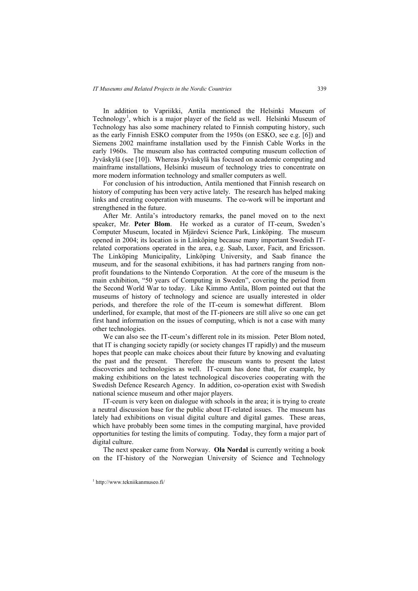In addition to Vapriikki, Antila mentioned the Helsinki Museum of Technology<sup>[1](#page-0-0)</sup>, which is a major player of the field as well. Helsinki Museum of Technology has also some machinery related to Finnish computing history, such as the early Finnish ESKO computer from the 1950s (on ESKO, see e.g. [6]) and Siemens 2002 mainframe installation used by the Finnish Cable Works in the early 1960s. The museum also has contracted computing museum collection of Jyväskylä (see [10]). Whereas Jyväskylä has focused on academic computing and mainframe installations, Helsinki museum of technology tries to concentrate on more modern information technology and smaller computers as well.

For conclusion of his introduction, Antila mentioned that Finnish research on history of computing has been very active lately. The research has helped making links and creating cooperation with museums. The co-work will be important and strengthened in the future.

After Mr. Antila's introductory remarks, the panel moved on to the next speaker, Mr. **Peter Blom**. He worked as a curator of IT-ceum, Sweden's Computer Museum, located in Mjärdevi Science Park, Linköping. The museum opened in 2004; its location is in Linköping because many important Swedish ITrelated corporations operated in the area, e.g. Saab, Luxor, Facit, and Ericsson. The Linköping Municipality, Linköping University, and Saab finance the museum, and for the seasonal exhibitions, it has had partners ranging from nonprofit foundations to the Nintendo Corporation. At the core of the museum is the main exhibition, "50 years of Computing in Sweden", covering the period from the Second World War to today. Like Kimmo Antila, Blom pointed out that the museums of history of technology and science are usually interested in older periods, and therefore the role of the IT-ceum is somewhat different. Blom underlined, for example, that most of the IT-pioneers are still alive so one can get first hand information on the issues of computing, which is not a case with many other technologies.

We can also see the IT-ceum's different role in its mission. Peter Blom noted, that IT is changing society rapidly (or society changes IT rapidly) and the museum hopes that people can make choices about their future by knowing and evaluating the past and the present. Therefore the museum wants to present the latest discoveries and technologies as well. IT-ceum has done that, for example, by making exhibitions on the latest technological discoveries cooperating with the Swedish Defence Research Agency. In addition, co-operation exist with Swedish national science museum and other major players.

IT-ceum is very keen on dialogue with schools in the area; it is trying to create a neutral discussion base for the public about IT-related issues. The museum has lately had exhibitions on visual digital culture and digital games. These areas, which have probably been some times in the computing marginal, have provided opportunities for testing the limits of computing. Today, they form a major part of digital culture.

The next speaker came from Norway. **Ola Nordal** is currently writing a book on the IT-history of the Norwegian University of Science and Technology

<sup>1</sup> http://www.tekniikanmuseo.fi/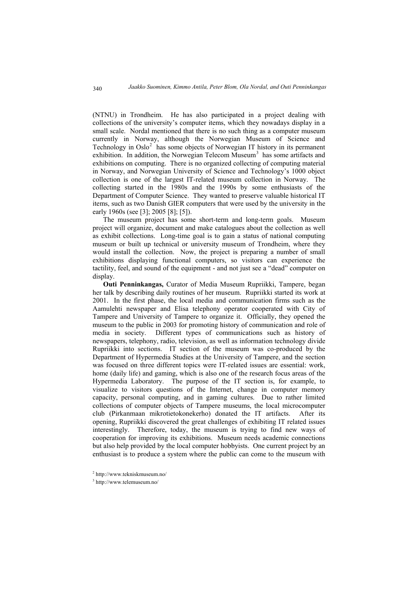(NTNU) in Trondheim. He has also participated in a project dealing with collections of the university's computer items, which they nowadays display in a small scale. Nordal mentioned that there is no such thing as a computer museum currently in Norway, although the Norwegian Museum of Science and Technology in Oslo<sup>[2](#page-0-1)</sup> has some objects of Norwegian IT history in its permanent exhibition. In addition, the Norwegian Telecom Museum<sup>[3](#page-0-0)</sup> has some artifacts and exhibitions on computing. There is no organized collecting of computing material in Norway, and Norwegian University of Science and Technology's 1000 object collection is one of the largest IT-related museum collection in Norway. The collecting started in the 1980s and the 1990s by some enthusiasts of the Department of Computer Science. They wanted to preserve valuable historical IT items, such as two Danish GIER computers that were used by the university in the early 1960s (see [3]; 2005 [8]; [5]).

The museum project has some short-term and long-term goals. Museum project will organize, document and make catalogues about the collection as well as exhibit collections. Long-time goal is to gain a status of national computing museum or built up technical or university museum of Trondheim, where they would install the collection. Now, the project is preparing a number of small exhibitions displaying functional computers, so visitors can experience the tactility, feel, and sound of the equipment - and not just see a "dead" computer on display.

**Outi Penninkangas,** Curator of Media Museum Rupriikki, Tampere, began her talk by describing daily routines of her museum. Rupriikki started its work at 2001. In the first phase, the local media and communication firms such as the Aamulehti newspaper and Elisa telephony operator cooperated with City of Tampere and University of Tampere to organize it. Officially, they opened the museum to the public in 2003 for promoting history of communication and role of media in society. Different types of communications such as history of newspapers, telephony, radio, television, as well as information technology divide Rupriikki into sections. IT section of the museum was co-produced by the Department of Hypermedia Studies at the University of Tampere, and the section was focused on three different topics were IT-related issues are essential: work, home (daily life) and gaming, which is also one of the research focus areas of the Hypermedia Laboratory. The purpose of the IT section is, for example, to visualize to visitors questions of the Internet, change in computer memory capacity, personal computing, and in gaming cultures. Due to rather limited collections of computer objects of Tampere museums, the local microcomputer club (Pirkanmaan mikrotietokonekerho) donated the IT artifacts. After its opening, Rupriikki discovered the great challenges of exhibiting IT related issues interestingly. Therefore, today, the museum is trying to find new ways of cooperation for improving its exhibitions. Museum needs academic connections but also help provided by the local computer hobbyists. One current project by an enthusiast is to produce a system where the public can come to the museum with

<sup>2</sup> http://www.tekniskmuseum.no/

<sup>3</sup> http://www.telemuseum.no/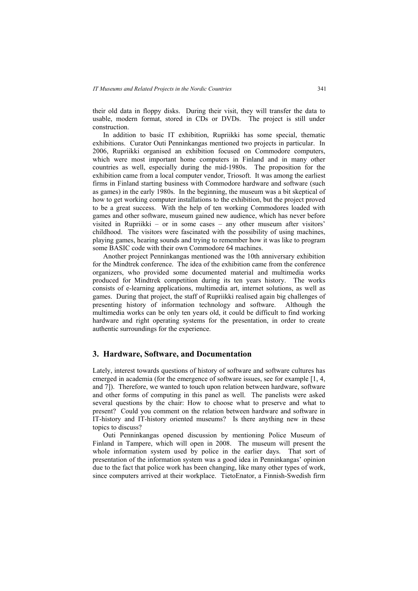their old data in floppy disks. During their visit, they will transfer the data to usable, modern format, stored in CDs or DVDs. The project is still under construction.

In addition to basic IT exhibition, Rupriikki has some special, thematic exhibitions. Curator Outi Penninkangas mentioned two projects in particular. In 2006, Rupriikki organised an exhibition focused on Commodore computers, which were most important home computers in Finland and in many other countries as well, especially during the mid-1980s. The proposition for the exhibition came from a local computer vendor, Triosoft. It was among the earliest firms in Finland starting business with Commodore hardware and software (such as games) in the early 1980s. In the beginning, the museum was a bit skeptical of how to get working computer installations to the exhibition, but the project proved to be a great success. With the help of ten working Commodores loaded with games and other software, museum gained new audience, which has never before visited in Rupriikki – or in some cases – any other museum after visitors' childhood. The visitors were fascinated with the possibility of using machines, playing games, hearing sounds and trying to remember how it was like to program some BASIC code with their own Commodore 64 machines.

Another project Penninkangas mentioned was the 10th anniversary exhibition for the Mindtrek conference. The idea of the exhibition came from the conference organizers, who provided some documented material and multimedia works produced for Mindtrek competition during its ten years history. The works consists of e-learning applications, multimedia art, internet solutions, as well as games. During that project, the staff of Rupriikki realised again big challenges of presenting history of information technology and software. Although the multimedia works can be only ten years old, it could be difficult to find working hardware and right operating systems for the presentation, in order to create authentic surroundings for the experience.

## **3. Hardware, Software, and Documentation**

Lately, interest towards questions of history of software and software cultures has emerged in academia (for the emergence of software issues, see for example [1, 4, and 7]). Therefore, we wanted to touch upon relation between hardware, software and other forms of computing in this panel as well. The panelists were asked several questions by the chair: How to choose what to preserve and what to present? Could you comment on the relation between hardware and software in IT-history and IT-history oriented museums? Is there anything new in these topics to discuss?

Outi Penninkangas opened discussion by mentioning Police Museum of Finland in Tampere, which will open in 2008. The museum will present the whole information system used by police in the earlier days. That sort of presentation of the information system was a good idea in Penninkangas' opinion due to the fact that police work has been changing, like many other types of work, since computers arrived at their workplace. TietoEnator, a Finnish-Swedish firm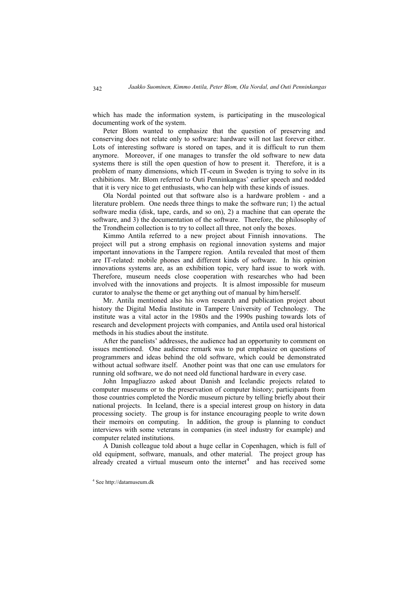which has made the information system, is participating in the museological documenting work of the system.

Peter Blom wanted to emphasize that the question of preserving and conserving does not relate only to software: hardware will not last forever either. Lots of interesting software is stored on tapes, and it is difficult to run them anymore. Moreover, if one manages to transfer the old software to new data systems there is still the open question of how to present it. Therefore, it is a problem of many dimensions, which IT-ceum in Sweden is trying to solve in its exhibitions. Mr. Blom referred to Outi Penninkangas' earlier speech and nodded that it is very nice to get enthusiasts, who can help with these kinds of issues.

Ola Nordal pointed out that software also is a hardware problem - and a literature problem. One needs three things to make the software run; 1) the actual software media (disk, tape, cards, and so on), 2) a machine that can operate the software, and 3) the documentation of the software. Therefore, the philosophy of the Trondheim collection is to try to collect all three, not only the boxes.

Kimmo Antila referred to a new project about Finnish innovations. The project will put a strong emphasis on regional innovation systems and major important innovations in the Tampere region. Antila revealed that most of them are IT-related: mobile phones and different kinds of software. In his opinion innovations systems are, as an exhibition topic, very hard issue to work with. Therefore, museum needs close cooperation with researches who had been involved with the innovations and projects. It is almost impossible for museum curator to analyse the theme or get anything out of manual by him/herself.

Mr. Antila mentioned also his own research and publication project about history the Digital Media Institute in Tampere University of Technology. The institute was a vital actor in the 1980s and the 1990s pushing towards lots of research and development projects with companies, and Antila used oral historical methods in his studies about the institute.

After the panelists' addresses, the audience had an opportunity to comment on issues mentioned. One audience remark was to put emphasize on questions of programmers and ideas behind the old software, which could be demonstrated without actual software itself. Another point was that one can use emulators for running old software, we do not need old functional hardware in every case.

John Impagliazzo asked about Danish and Icelandic projects related to computer museums or to the preservation of computer history; participants from those countries completed the Nordic museum picture by telling briefly about their national projects. In Iceland, there is a special interest group on history in data processing society. The group is for instance encouraging people to write down their memoirs on computing. In addition, the group is planning to conduct interviews with some veterans in companies (in steel industry for example) and computer related institutions.

A Danish colleague told about a huge cellar in Copenhagen, which is full of old equipment, software, manuals, and other material. The project group has already created a virtual museum onto the internet $4$  and has received some

<sup>4</sup> See http://datamuseum.dk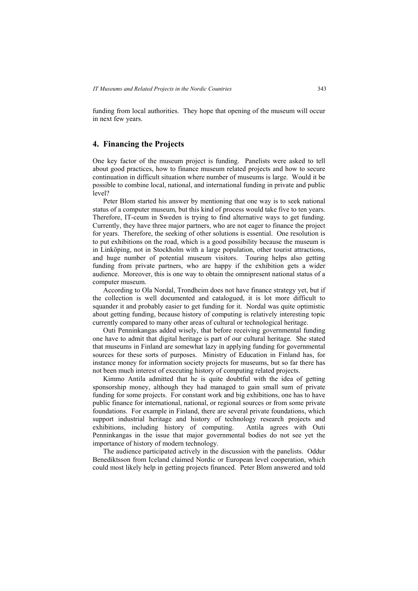funding from local authorities. They hope that opening of the museum will occur in next few years.

## **4. Financing the Projects**

One key factor of the museum project is funding. Panelists were asked to tell about good practices, how to finance museum related projects and how to secure continuation in difficult situation where number of museums is large. Would it be possible to combine local, national, and international funding in private and public level?

Peter Blom started his answer by mentioning that one way is to seek national status of a computer museum, but this kind of process would take five to ten years. Therefore, IT-ceum in Sweden is trying to find alternative ways to get funding. Currently, they have three major partners, who are not eager to finance the project for years. Therefore, the seeking of other solutions is essential. One resolution is to put exhibitions on the road, which is a good possibility because the museum is in Linköping, not in Stockholm with a large population, other tourist attractions, and huge number of potential museum visitors. Touring helps also getting funding from private partners, who are happy if the exhibition gets a wider audience. Moreover, this is one way to obtain the omnipresent national status of a computer museum.

According to Ola Nordal, Trondheim does not have finance strategy yet, but if the collection is well documented and catalogued, it is lot more difficult to squander it and probably easier to get funding for it. Nordal was quite optimistic about getting funding, because history of computing is relatively interesting topic currently compared to many other areas of cultural or technological heritage.

Outi Penninkangas added wisely, that before receiving governmental funding one have to admit that digital heritage is part of our cultural heritage. She stated that museums in Finland are somewhat lazy in applying funding for governmental sources for these sorts of purposes. Ministry of Education in Finland has, for instance money for information society projects for museums, but so far there has not been much interest of executing history of computing related projects.

Kimmo Antila admitted that he is quite doubtful with the idea of getting sponsorship money, although they had managed to gain small sum of private funding for some projects. For constant work and big exhibitions, one has to have public finance for international, national, or regional sources or from some private foundations. For example in Finland, there are several private foundations, which support industrial heritage and history of technology research projects and exhibitions, including history of computing. Antila agrees with Outi Penninkangas in the issue that major governmental bodies do not see yet the importance of history of modern technology.

The audience participated actively in the discussion with the panelists. Oddur Benediktsson from Iceland claimed Nordic or European level cooperation, which could most likely help in getting projects financed. Peter Blom answered and told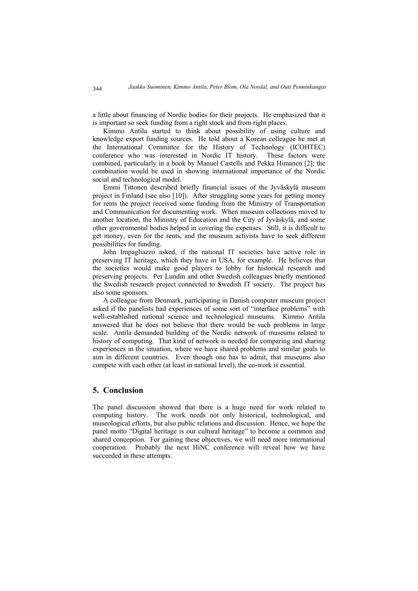a little about financing of Nordic bodies for their projects. He emphasized that it is important so seek funding from a right stock and from right places.

Kimmo Antila started to think about possibility of using culture and knowledge export funding sources. He told about a Korean colleague he met at the International Committee for the History of Technology (ICOHTEC) conference who was interested in Nordic IT history. These factors were combined, particularly in a book by Manuel Castells and Pekka Himanen [2]; the combination would be used in showing international importance of the Nordic social and technological model.

Emmi Tittonen described briefly financial issues of the Jyväskylä museum project in Finland (see also [10]). After struggling some years for getting money for rents the project received some funding from the Ministry of Transportation and Communication for documenting work. When museum collections moved to another location, the Ministry of Education and the City of Jyväskylä, and some other governmental bodies helped in covering the expenses. Still, it is difficult to get money, even for the rents, and the museum activists have to seek different possibilities for funding.

John Impagliazzo asked, if the national IT societies have active role in preserving IT heritage, which they have in USA, for example. He believes that the societies would make good players to lobby for historical research and preserving projects. Per Lundin and other Swedish colleagues briefly mentioned the Swedish research project connected to Swedish IT society. The project has also some sponsors.

A colleague from Denmark, participating in Danish computer museum project asked if the panelists had experiences of some sort of "interface problems" with well-established national science and technological museums. Kimmo Antila answered that he does not believe that there would be such problems in large scale. Antila demanded building of the Nordic network of museums related to history of computing. That kind of network is needed for comparing and sharing experiences in the situation, where we have shared problems and similar goals to aim in different countries. Even though one has to admit, that museums also compete with each other (at least in national level), the co-work is essential.

## **5. Conclusion**

The panel discussion showed that there is a huge need for work related to computing history. The work needs not only historical, technological, and museological efforts, but also public relations and discussion. Hence, we hope the panel motto "Digital heritage is our cultural heritage" to become a common and shared conception. For gaining these objectives, we will need more international cooperation. Probably the next HiNC conference will reveal how we have succeeded in these attempts.